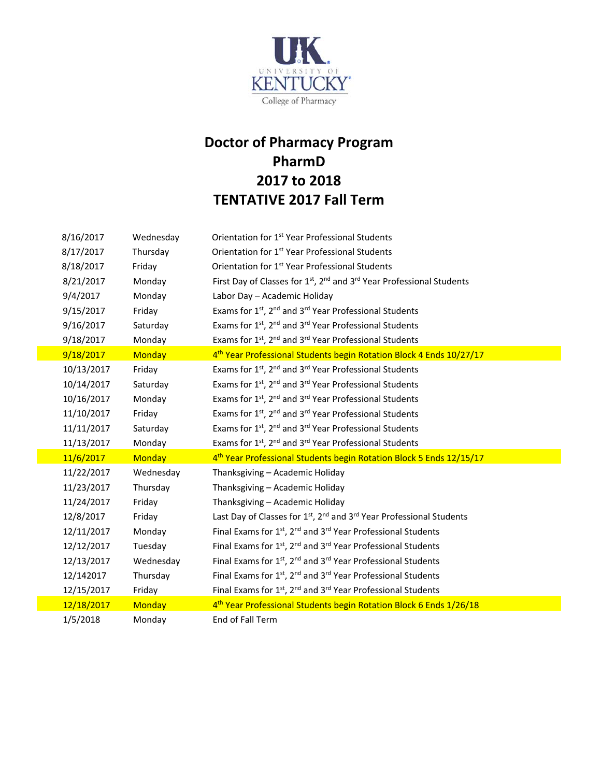

## **Doctor of Pharmacy Program PharmD 2017 to 2018 TENTATIVE 2017 Fall Term**

| 8/16/2017  | Wednesday     | Orientation for 1 <sup>st</sup> Year Professional Students                                                |
|------------|---------------|-----------------------------------------------------------------------------------------------------------|
| 8/17/2017  | Thursday      | Orientation for 1 <sup>st</sup> Year Professional Students                                                |
| 8/18/2017  | Friday        | Orientation for 1 <sup>st</sup> Year Professional Students                                                |
| 8/21/2017  | Monday        | First Day of Classes for 1 <sup>st</sup> , 2 <sup>nd</sup> and 3 <sup>rd</sup> Year Professional Students |
| 9/4/2017   | Monday        | Labor Day - Academic Holiday                                                                              |
| 9/15/2017  | Friday        | Exams for 1st, 2nd and 3rd Year Professional Students                                                     |
| 9/16/2017  | Saturday      | Exams for 1 <sup>st</sup> , 2 <sup>nd</sup> and 3 <sup>rd</sup> Year Professional Students                |
| 9/18/2017  | Monday        | Exams for 1st, 2 <sup>nd</sup> and 3 <sup>rd</sup> Year Professional Students                             |
| 9/18/2017  | <b>Monday</b> | 4 <sup>th</sup> Year Professional Students begin Rotation Block 4 Ends 10/27/17                           |
| 10/13/2017 | Friday        | Exams for 1 <sup>st</sup> , 2 <sup>nd</sup> and 3 <sup>rd</sup> Year Professional Students                |
| 10/14/2017 | Saturday      | Exams for 1 <sup>st</sup> , 2 <sup>nd</sup> and 3 <sup>rd</sup> Year Professional Students                |
| 10/16/2017 | Monday        | Exams for 1 <sup>st</sup> , 2 <sup>nd</sup> and 3 <sup>rd</sup> Year Professional Students                |
| 11/10/2017 | Friday        | Exams for 1st, 2 <sup>nd</sup> and 3 <sup>rd</sup> Year Professional Students                             |
| 11/11/2017 | Saturday      | Exams for 1 <sup>st</sup> , 2 <sup>nd</sup> and 3 <sup>rd</sup> Year Professional Students                |
| 11/13/2017 | Monday        | Exams for 1 <sup>st</sup> , 2 <sup>nd</sup> and 3 <sup>rd</sup> Year Professional Students                |
| 11/6/2017  | <b>Monday</b> | 4 <sup>th</sup> Year Professional Students begin Rotation Block 5 Ends 12/15/17                           |
| 11/22/2017 | Wednesday     | Thanksgiving - Academic Holiday                                                                           |
| 11/23/2017 | Thursday      | Thanksgiving - Academic Holiday                                                                           |
| 11/24/2017 | Friday        | Thanksgiving - Academic Holiday                                                                           |
| 12/8/2017  | Friday        | Last Day of Classes for 1 <sup>st</sup> , 2 <sup>nd</sup> and 3 <sup>rd</sup> Year Professional Students  |
| 12/11/2017 | Monday        | Final Exams for 1st, 2 <sup>nd</sup> and 3 <sup>rd</sup> Year Professional Students                       |
| 12/12/2017 | Tuesday       | Final Exams for 1st, 2 <sup>nd</sup> and 3 <sup>rd</sup> Year Professional Students                       |
| 12/13/2017 | Wednesday     | Final Exams for 1st, 2nd and 3rd Year Professional Students                                               |
| 12/142017  | Thursday      | Final Exams for 1st, 2nd and 3rd Year Professional Students                                               |
| 12/15/2017 | Friday        | Final Exams for 1st, 2nd and 3rd Year Professional Students                                               |
| 12/18/2017 | <b>Monday</b> | 4 <sup>th</sup> Year Professional Students begin Rotation Block 6 Ends 1/26/18                            |
| 1/5/2018   | Monday        | End of Fall Term                                                                                          |